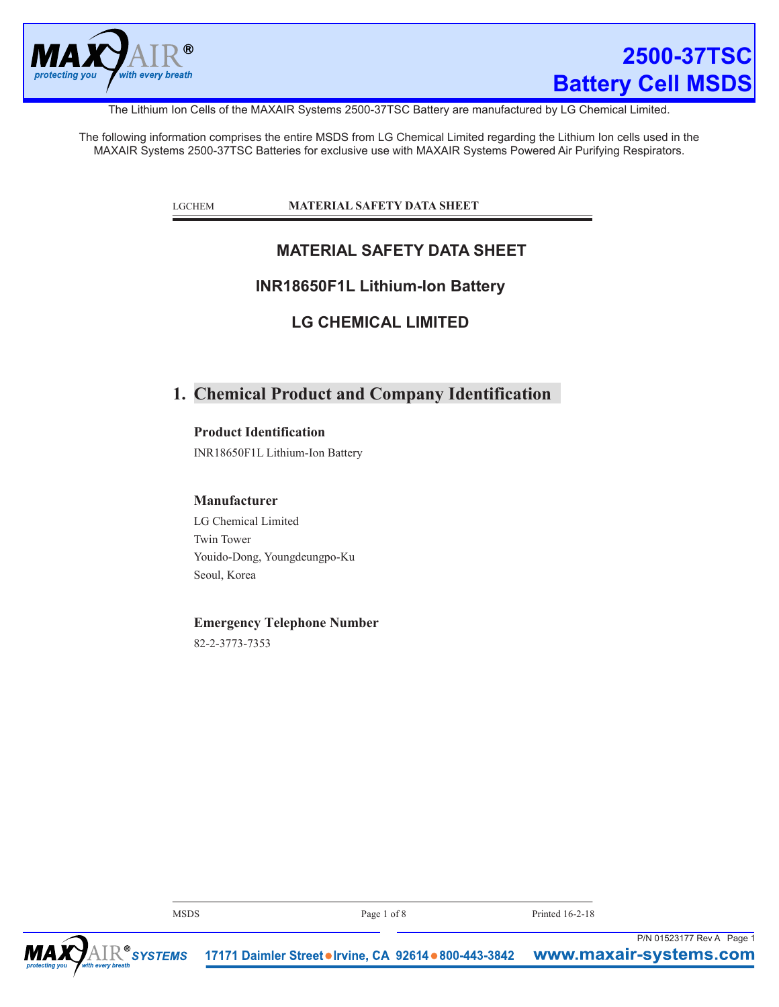

The Lithium Ion Cells of the MAXAIR Systems 2500-37TSC Battery are manufactured by LG Chemical Limited.

The following information comprises the entire MSDS from LG Chemical Limited regarding the Lithium Ion cells used in the MAXAIR Systems 2500-37TSC Batteries for exclusive use with MAXAIR Systems Powered Air Purifying Respirators.

LGCHEM **MATERIAL SAFETY DATA SHEET**

## **MATERIAL SAFETY DATA SHEET**

### **INR18650F1L Lithium-Ion Battery**

**LG CHEMICAL LIMITED**

# **1. Chemical Product and Company Identification**

**Product Identification**

INR18650F1L Lithium-Ion Battery

#### **Manufacturer**

LG Chemical Limited Twin Tower Youido-Dong, Youngdeungpo-Ku Seoul, Korea

### **Emergency Telephone Number**

82-2-3773-7353

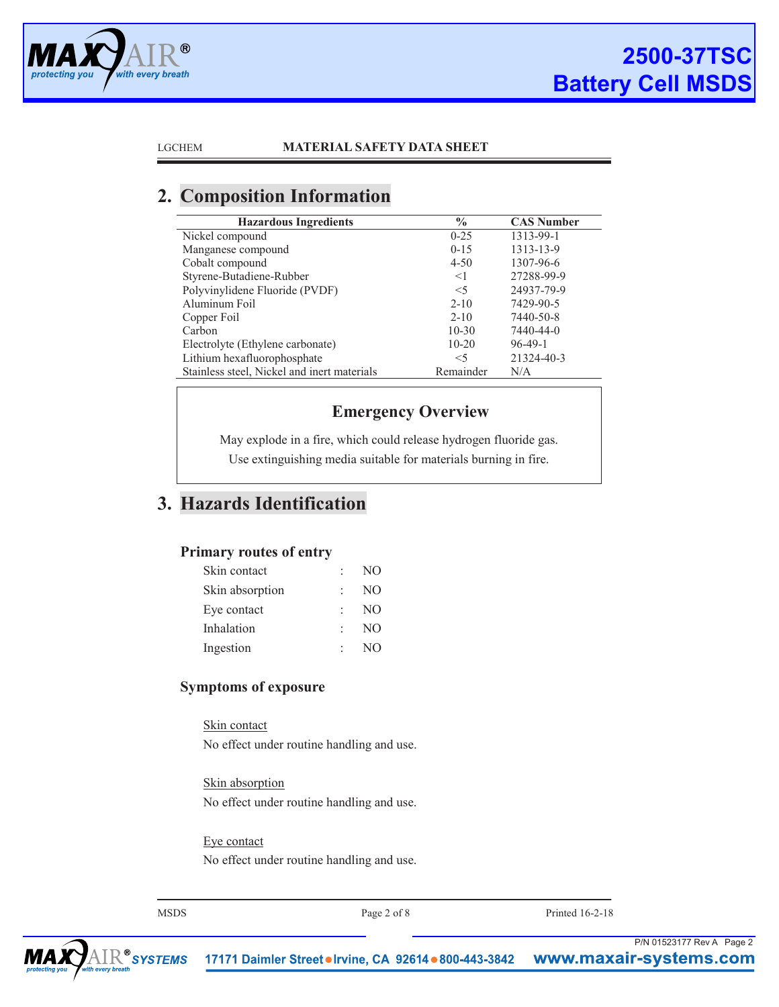

# **2. Composition Information**

| <b>Hazardous Ingredients</b>                | $\frac{6}{9}$ | <b>CAS Number</b> |
|---------------------------------------------|---------------|-------------------|
| Nickel compound                             | $0 - 25$      | 1313-99-1         |
| Manganese compound                          | $0 - 15$      | 1313-13-9         |
| Cobalt compound                             | $4 - 50$      | 1307-96-6         |
| Styrene-Butadiene-Rubber                    | $<$ 1         | 27288-99-9        |
| Polyvinylidene Fluoride (PVDF)              | $<$ 5         | 24937-79-9        |
| Aluminum Foil                               | $2 - 10$      | 7429-90-5         |
| Copper Foil                                 | $2 - 10$      | 7440-50-8         |
| Carbon                                      | $10-30$       | 7440-44-0         |
| Electrolyte (Ethylene carbonate)            | $10 - 20$     | $96-49-1$         |
| Lithium hexafluorophosphate                 | $<$ 5         | 21324-40-3        |
| Stainless steel, Nickel and inert materials | Remainder     | N/A               |
|                                             |               |                   |

## **Emergency Overview**

May explode in a fire, which could release hydrogen fluoride gas. Use extinguishing media suitable for materials burning in fire.

# **3. Hazards Identification**

### **Primary routes of entry**

| Skin contact    | NO. |
|-----------------|-----|
| Skin absorption | NO. |
| Eye contact     | NO. |
| Inhalation      | NO. |
| Ingestion       | NO. |

### **Symptoms of exposure**

Skin contact No effect under routine handling and use.

Skin absorption No effect under routine handling and use.

Eye contact No effect under routine handling and use.

MSDS Page 2 of 8 Printed 16-2-18

P/N 01523177 Rev A Page 2

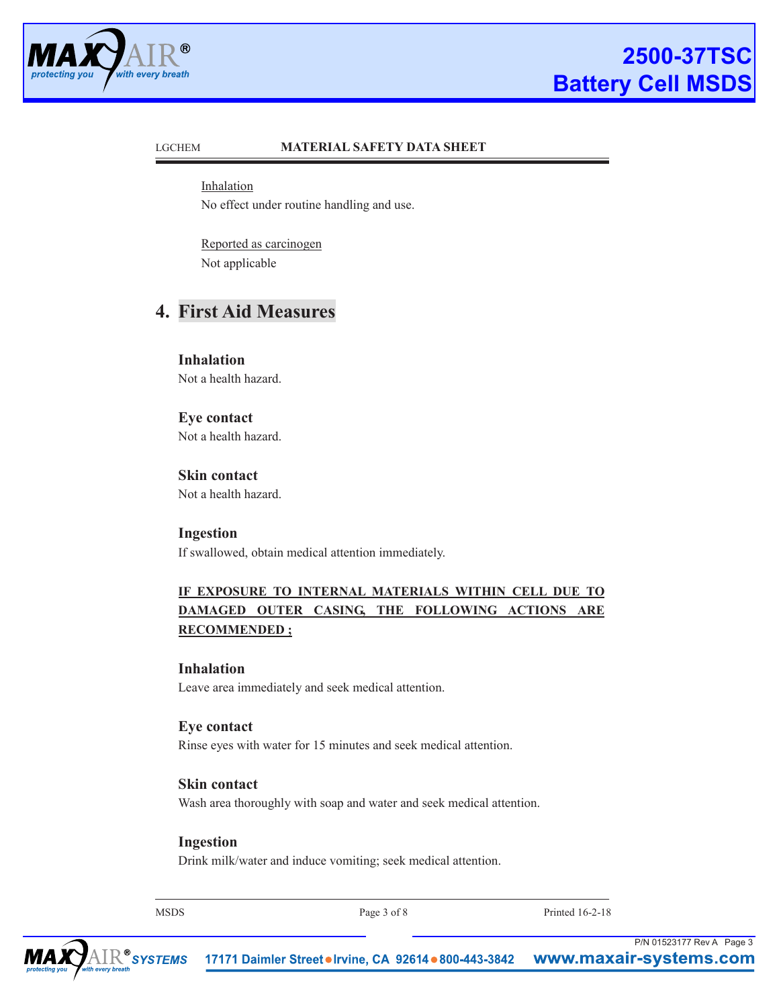

Inhalation No effect under routine handling and use.

Reported as carcinogen Not applicable

# **4. First Aid Measures**

**Inhalation** Not a health hazard.

**Eye contact** Not a health hazard.

**Skin contact** Not a health hazard.

**Ingestion** If swallowed, obtain medical attention immediately.

### **IF EXPOSURE TO INTERNAL MATERIALS WITHIN CELL DUE TO DAMAGED OUTER CASING, THE FOLLOWING ACTIONS ARE RECOMMENDED ;**

#### **Inhalation**

Leave area immediately and seek medical attention.

### **Eye contact**

Rinse eyes with water for 15 minutes and seek medical attention.

### **Skin contact**

Wash area thoroughly with soap and water and seek medical attention.

#### **Ingestion**

Drink milk/water and induce vomiting; seek medical attention.

MSDS Page 3 of 8 Printed 16-2-18

P/N 01523177 Rev A Page 3

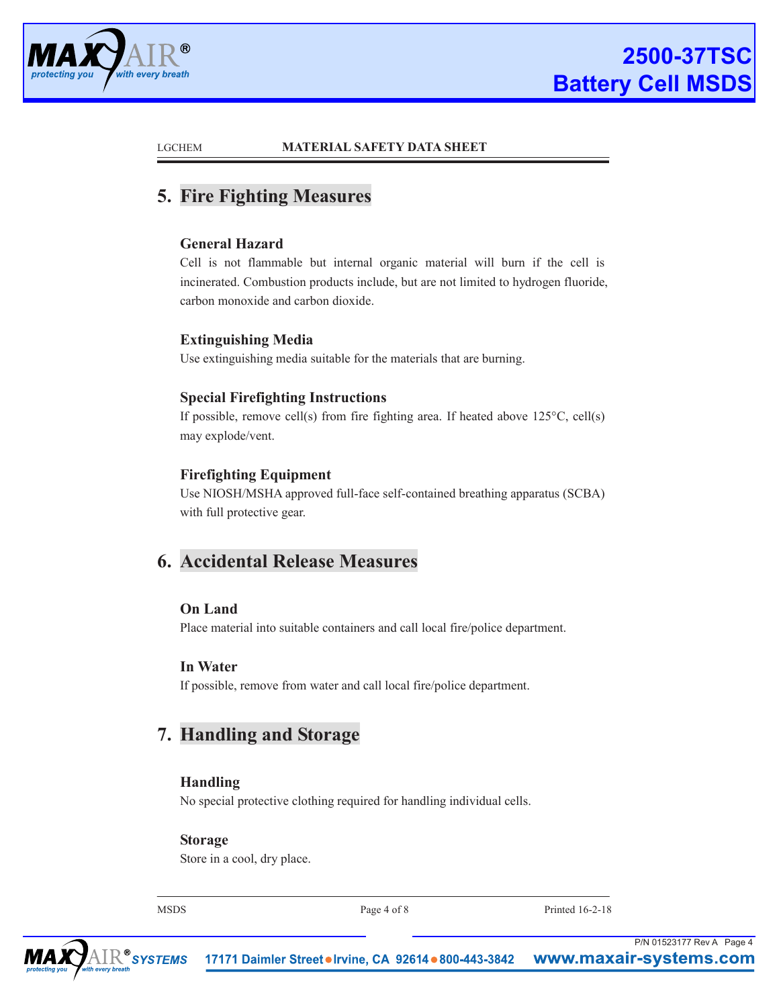

# **5. Fire Fighting Measures**

### **General Hazard**

Cell is not flammable but internal organic material will burn if the cell is incinerated. Combustion products include, but are not limited to hydrogen fluoride, carbon monoxide and carbon dioxide.

### **Extinguishing Media**

Use extinguishing media suitable for the materials that are burning.

### **Special Firefighting Instructions**

If possible, remove cell(s) from fire fighting area. If heated above  $125^{\circ}$ C, cell(s) may explode/vent.

### **Firefighting Equipment**

Use NIOSH/MSHA approved full-face self-contained breathing apparatus (SCBA) with full protective gear.

# **6. Accidental Release Measures**

#### **On Land**

Place material into suitable containers and call local fire/police department.

#### **In Water**

If possible, remove from water and call local fire/police department.

# **7. Handling and Storage**

### **Handling**

No special protective clothing required for handling individual cells.

#### **Storage**

Store in a cool, dry place.

MSDS Page 4 of 8 Printed 16-2-18

P/N 01523177 Rev A Page 4

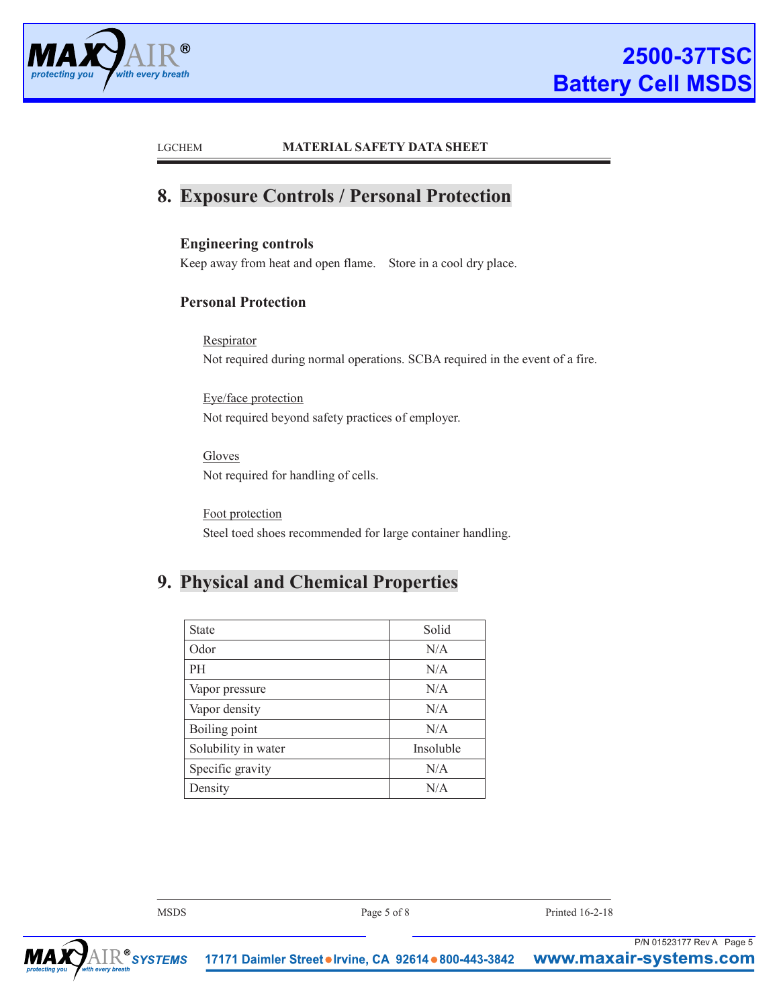

# **8. Exposure Controls / Personal Protection**

### **Engineering controls**

Keep away from heat and open flame. Store in a cool dry place.

### **Personal Protection**

**Respirator** Not required during normal operations. SCBA required in the event of a fire.

Eye/face protection Not required beyond safety practices of employer.

Gloves Not required for handling of cells.

Foot protection Steel toed shoes recommended for large container handling.

# **9. Physical and Chemical Properties**

| <b>State</b>        | Solid     |
|---------------------|-----------|
| Odor                | N/A       |
| PH                  | N/A       |
| Vapor pressure      | N/A       |
| Vapor density       | N/A       |
| Boiling point       | N/A       |
| Solubility in water | Insoluble |
| Specific gravity    | N/A       |
| Density             | N/A       |

| irir hraafh | $\mathop{\mathrm{IR}}\nolimits^\circ$ sys $\tau$ EMS $\;$ 17171 Daimler Street $\bullet$ Irvine, CA 92614 $\bullet$ 800-443-3842 $\;$ WWW. <code>maxair-systems.com</code> | P/N 01523177 Rev A Page 5 |  |
|-------------|----------------------------------------------------------------------------------------------------------------------------------------------------------------------------|---------------------------|--|
| <b>MSDS</b> | Page 5 of 8                                                                                                                                                                | Printed 16-2-18           |  |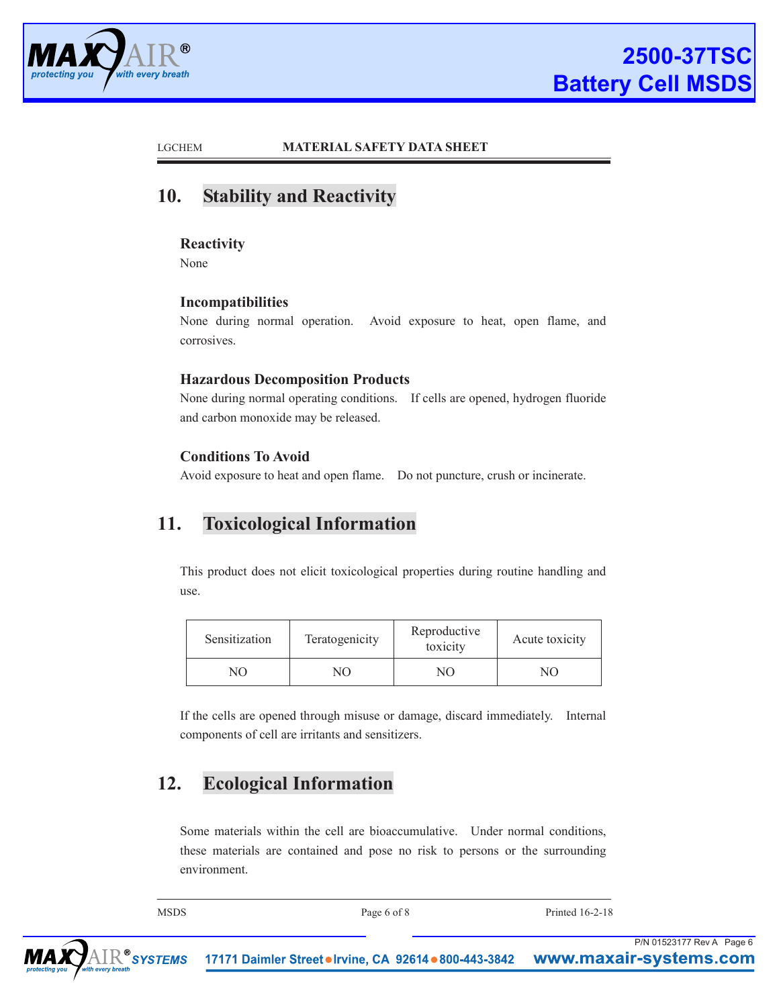

# **10. Stability and Reactivity**

### **Reactivity**

None

### **Incompatibilities**

None during normal operation. Avoid exposure to heat, open flame, and corrosives.

### **Hazardous Decomposition Products**

None during normal operating conditions. If cells are opened, hydrogen fluoride and carbon monoxide may be released.

### **Conditions To Avoid**

Avoid exposure to heat and open flame. Do not puncture, crush or incinerate.

# **11. Toxicological Information**

This product does not elicit toxicological properties during routine handling and use.

| Sensitization  | Teratogenicity |     | Acute toxicity |  |
|----------------|----------------|-----|----------------|--|
| N <sub>O</sub> | NO.            | NO. | $\overline{M}$ |  |

If the cells are opened through misuse or damage, discard immediately. Internal components of cell are irritants and sensitizers.

# **12. Ecological Information**

Some materials within the cell are bioaccumulative. Under normal conditions, these materials are contained and pose no risk to persons or the surrounding environment.

| ۰,<br>I<br>۰. |
|---------------|
|---------------|

Page 6 of 8 Printed 16-2-18

P/N 01523177 Rev A Page 6

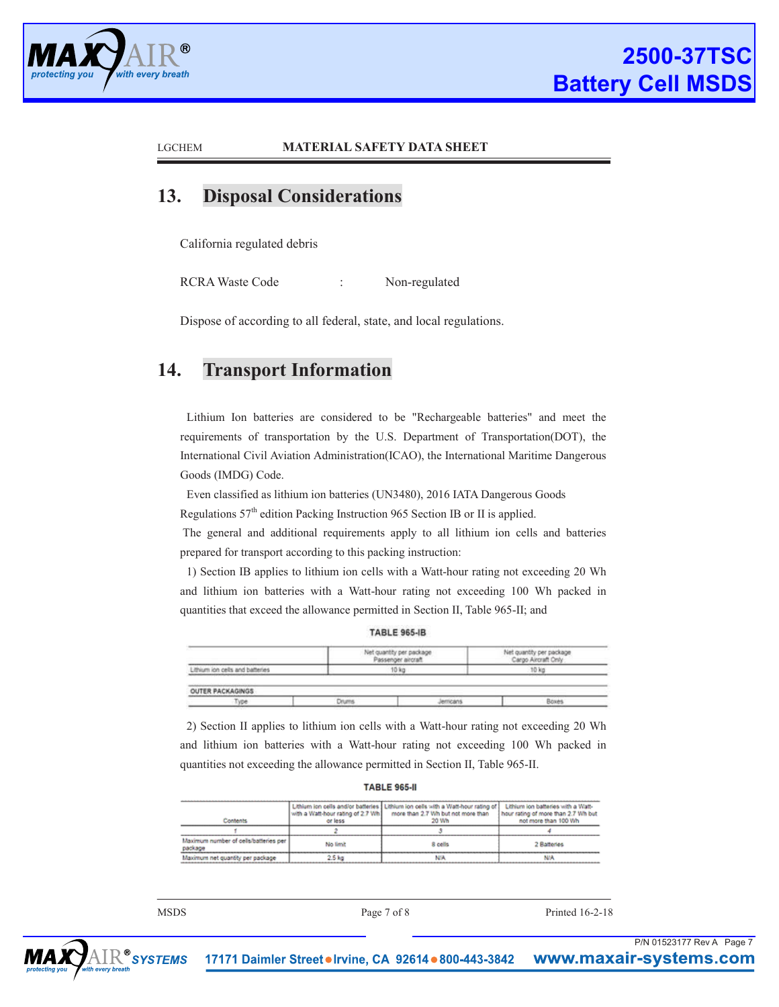

P/N 01523177 Rev A Page 7

#### LGCHEM **MATERIAL SAFETY DATA SHEET**

# **13. Disposal Considerations**

California regulated debris

RCRA Waste Code : Non-regulated

Dispose of according to all federal, state, and local regulations.

## **14. Transport Information**

Lithium Ion batteries are considered to be "Rechargeable batteries" and meet the requirements of transportation by the U.S. Department of Transportation(DOT), the International Civil Aviation Administration(ICAO), the International Maritime Dangerous Goods (IMDG) Code.

Even classified as lithium ion batteries (UN3480), 2016 IATA Dangerous Goods Regulations 57th edition Packing Instruction 965 Section IB or II is applied.

The general and additional requirements apply to all lithium ion cells and batteries prepared for transport according to this packing instruction:

1) Section IB applies to lithium ion cells with a Watt-hour rating not exceeding 20 Wh and lithium ion batteries with a Watt-hour rating not exceeding 100 Wh packed in quantities that exceed the allowance permitted in Section II, Table 965-II; and

**TABLE 965-IB** 

|                                                                   | Net quantity per package<br>Passenger aircraft | Net quantity per package<br>Cargo Aircraft Only |
|-------------------------------------------------------------------|------------------------------------------------|-------------------------------------------------|
| Lithium ion cells and batteries                                   | 10 kg                                          | 10 kg                                           |
| <b><i>PARTICULAR AT STATISTICS CONTINUES IN A STATISTICS.</i></b> |                                                |                                                 |
|                                                                   |                                                |                                                 |
| OUTER PACKAGINGS                                                  |                                                |                                                 |

2) Section II applies to lithium ion cells with a Watt-hour rating not exceeding 20 Wh and lithium ion batteries with a Watt-hour rating not exceeding 100 Wh packed in quantities not exceeding the allowance permitted in Section II, Table 965-II.

| <b>TABLE 965-II</b> |  |  |  |  |
|---------------------|--|--|--|--|
|                     |  |  |  |  |

| Contents                                         | with a Watt-hour rating of 2.7 Wh.<br>or less | Lithium ion cells and/or batteries   Lithium ion cells with a Watt-hour rating of  <br>more than 2.7 Wh but not more than<br>20 Wh | Lithium ion batteries with a Watt-<br>hour rating of more than 2.7 Wh but<br>not more than 100 Wh |
|--------------------------------------------------|-----------------------------------------------|------------------------------------------------------------------------------------------------------------------------------------|---------------------------------------------------------------------------------------------------|
|                                                  |                                               |                                                                                                                                    |                                                                                                   |
| Maximum number of cells/batteries per<br>package | No limit                                      | 8 cells                                                                                                                            | 2 Batteries                                                                                       |
| Maximum net quantity per package                 | $2.5$ kg                                      |                                                                                                                                    |                                                                                                   |

MSDS Page 7 of 8 Printed 16-2-18